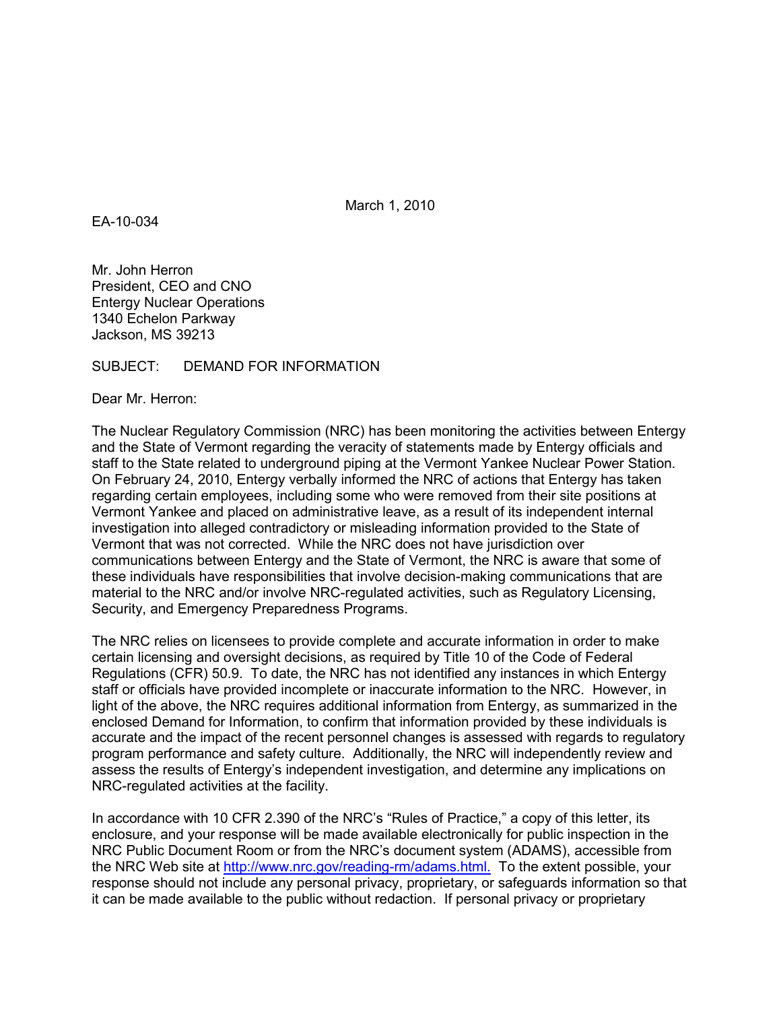March 1, 2010

EA-10-034

Mr. John Herron President, CEO and CNO Entergy Nuclear Operations 1340 Echelon Parkway Jackson, MS 39213

## SUBJECT: DEMAND FOR INFORMATION

Dear Mr. Herron:

The Nuclear Regulatory Commission (NRC) has been monitoring the activities between Entergy and the State of Vermont regarding the veracity of statements made by Entergy officials and staff to the State related to underground piping at the Vermont Yankee Nuclear Power Station. On February 24, 2010, Entergy verbally informed the NRC of actions that Entergy has taken regarding certain employees, including some who were removed from their site positions at Vermont Yankee and placed on administrative leave, as a result of its independent internal investigation into alleged contradictory or misleading information provided to the State of Vermont that was not corrected. While the NRC does not have jurisdiction over communications between Entergy and the State of Vermont, the NRC is aware that some of these individuals have responsibilities that involve decision-making communications that are material to the NRC and/or involve NRC-regulated activities, such as Regulatory Licensing, Security, and Emergency Preparedness Programs.

The NRC relies on licensees to provide complete and accurate information in order to make certain licensing and oversight decisions, as required by Title 10 of the Code of Federal Regulations (CFR) 50.9. To date, the NRC has not identified any instances in which Entergy staff or officials have provided incomplete or inaccurate information to the NRC. However, in light of the above, the NRC requires additional information from Entergy, as summarized in the enclosed Demand for Information, to confirm that information provided by these individuals is accurate and the impact of the recent personnel changes is assessed with regards to regulatory program performance and safety culture. Additionally, the NRC will independently review and assess the results of Entergy's independent investigation, and determine any implications on NRC-regulated activities at the facility.

In accordance with 10 CFR 2.390 of the NRC's "Rules of Practice," a copy of this letter, its enclosure, and your response will be made available electronically for public inspection in the NRC Public Document Room or from the NRC's document system (ADAMS), accessible from the NRC Web site at http://www.nrc.gov/reading-rm/adams.html. To the extent possible, your response should not include any personal privacy, proprietary, or safeguards information so that it can be made available to the public without redaction. If personal privacy or proprietary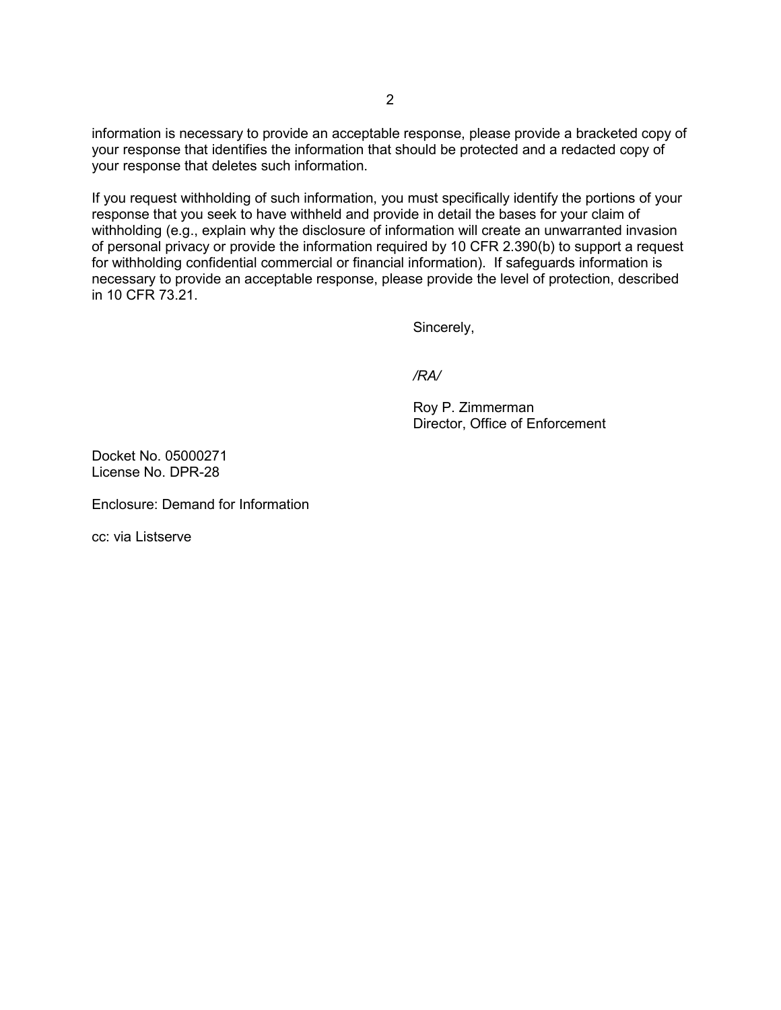information is necessary to provide an acceptable response, please provide a bracketed copy of your response that identifies the information that should be protected and a redacted copy of your response that deletes such information.

If you request withholding of such information, you must specifically identify the portions of your response that you seek to have withheld and provide in detail the bases for your claim of withholding (e.g., explain why the disclosure of information will create an unwarranted invasion of personal privacy or provide the information required by 10 CFR 2.390(b) to support a request for withholding confidential commercial or financial information). If safeguards information is necessary to provide an acceptable response, please provide the level of protection, described in 10 CFR 73.21.

Sincerely,

*/RA/* 

 Roy P. Zimmerman Director, Office of Enforcement

Docket No. 05000271 License No. DPR-28

Enclosure: Demand for Information

cc: via Listserve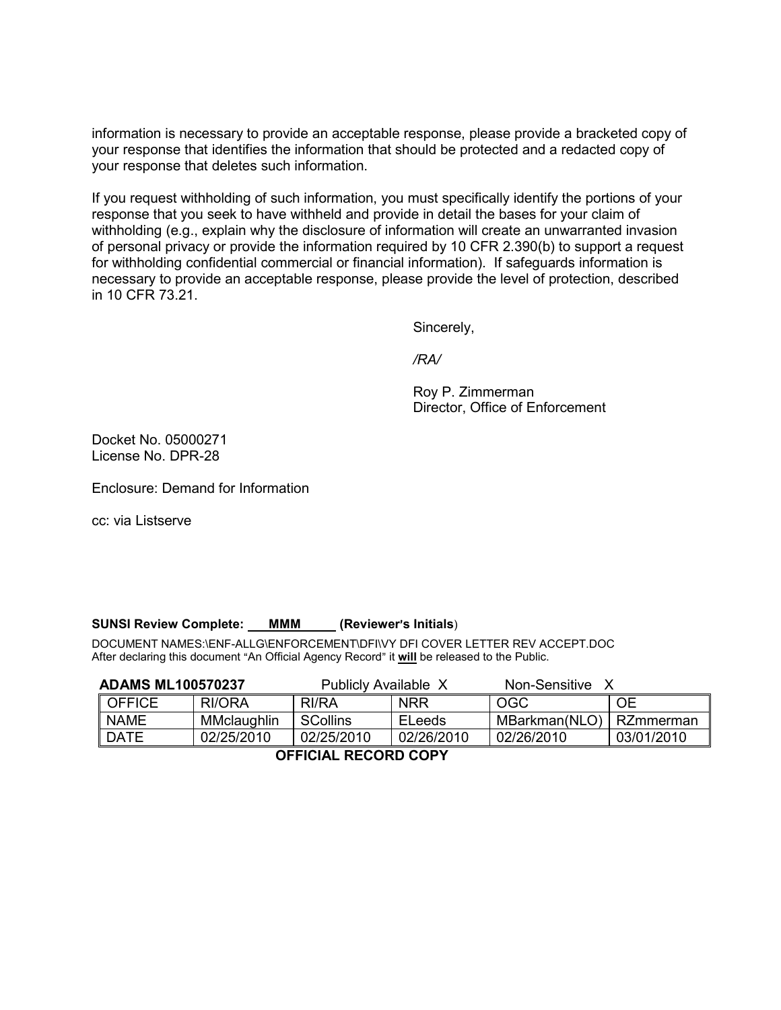information is necessary to provide an acceptable response, please provide a bracketed copy of your response that identifies the information that should be protected and a redacted copy of your response that deletes such information.

If you request withholding of such information, you must specifically identify the portions of your response that you seek to have withheld and provide in detail the bases for your claim of withholding (e.g., explain why the disclosure of information will create an unwarranted invasion of personal privacy or provide the information required by 10 CFR 2.390(b) to support a request for withholding confidential commercial or financial information). If safeguards information is necessary to provide an acceptable response, please provide the level of protection, described in 10 CFR 73.21.

Sincerely,

*/RA/* 

 Roy P. Zimmerman Director, Office of Enforcement

Docket No. 05000271 License No. DPR-28

Enclosure: Demand for Information

cc: via Listserve

## **SUNSI Review Complete: MMM** (Reviewer's Initials)

DOCUMENT NAMES:\ENF-ALLG\ENFORCEMENT\DFI\VY DFI COVER LETTER REV ACCEPT.DOC After declaring this document "An Official Agency Record" it will be released to the Public.

| <b>ADAMS ML100570237</b> |             | Publicly Available X |               | Non-Sensitive X |            |  |  |
|--------------------------|-------------|----------------------|---------------|-----------------|------------|--|--|
| <b>OFFICE</b>            | RI/ORA      | RI/RA                | <b>NRR</b>    | <b>OGC</b>      | <b>OE</b>  |  |  |
| <b>NAME</b>              | MMclaughlin | <b>SCollins</b>      | <b>ELeeds</b> | MBarkman(NLO)   | RZmmerman  |  |  |
| <b>DATE</b>              | 02/25/2010  | 02/25/2010           | 02/26/2010    | 02/26/2010      | 03/01/2010 |  |  |
| AFFIAIAL BEAARD AABV     |             |                      |               |                 |            |  |  |

 **OFFICIAL RECORD COPY**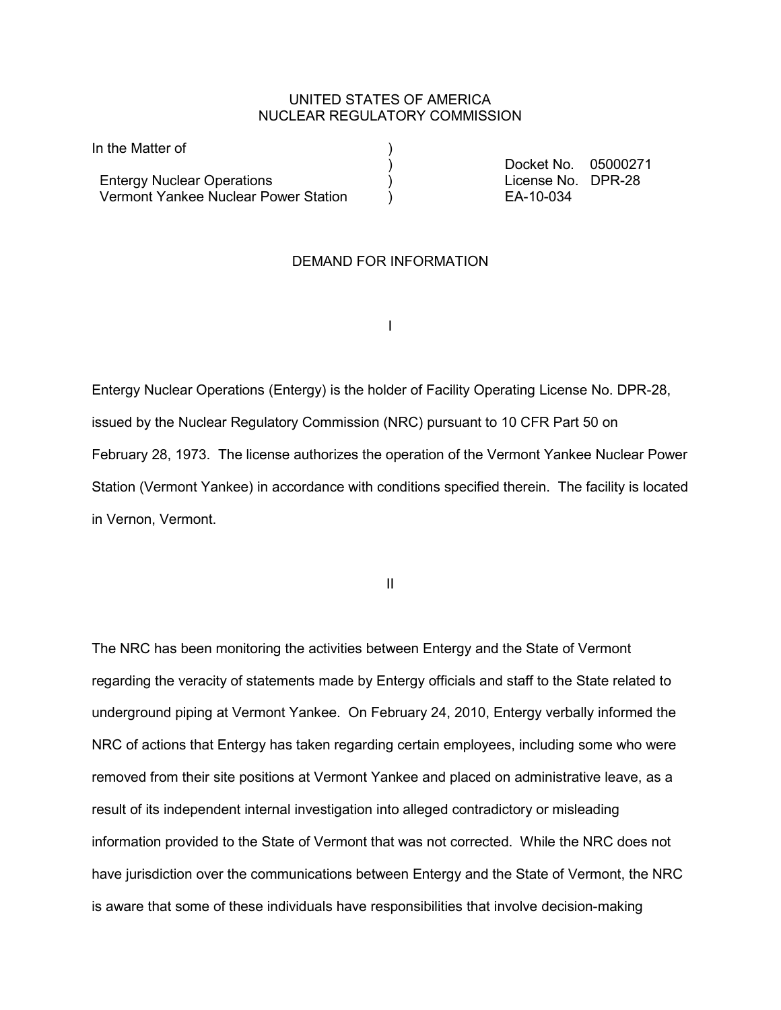## UNITED STATES OF AMERICA NUCLEAR REGULATORY COMMISSION

| In the Matter of                     |                     |  |
|--------------------------------------|---------------------|--|
|                                      | Docket No. 05000271 |  |
| <b>Entergy Nuclear Operations</b>    | License No. DPR-28  |  |
| Vermont Yankee Nuclear Power Station | EA-10-034           |  |

## DEMAND FOR INFORMATION

**In the contract of the contract of the contract of the contract of the contract of the contract of the contract of the contract of the contract of the contract of the contract of the contract of the contract of the contra** 

Entergy Nuclear Operations (Entergy) is the holder of Facility Operating License No. DPR-28, issued by the Nuclear Regulatory Commission (NRC) pursuant to 10 CFR Part 50 on February 28, 1973. The license authorizes the operation of the Vermont Yankee Nuclear Power Station (Vermont Yankee) in accordance with conditions specified therein. The facility is located in Vernon, Vermont.

**III** and the contract of the contract of the contract of the contract of the contract of the contract of the contract of the contract of the contract of the contract of the contract of the contract of the contract of the

The NRC has been monitoring the activities between Entergy and the State of Vermont regarding the veracity of statements made by Entergy officials and staff to the State related to underground piping at Vermont Yankee. On February 24, 2010, Entergy verbally informed the NRC of actions that Entergy has taken regarding certain employees, including some who were removed from their site positions at Vermont Yankee and placed on administrative leave, as a result of its independent internal investigation into alleged contradictory or misleading information provided to the State of Vermont that was not corrected. While the NRC does not have jurisdiction over the communications between Entergy and the State of Vermont, the NRC is aware that some of these individuals have responsibilities that involve decision-making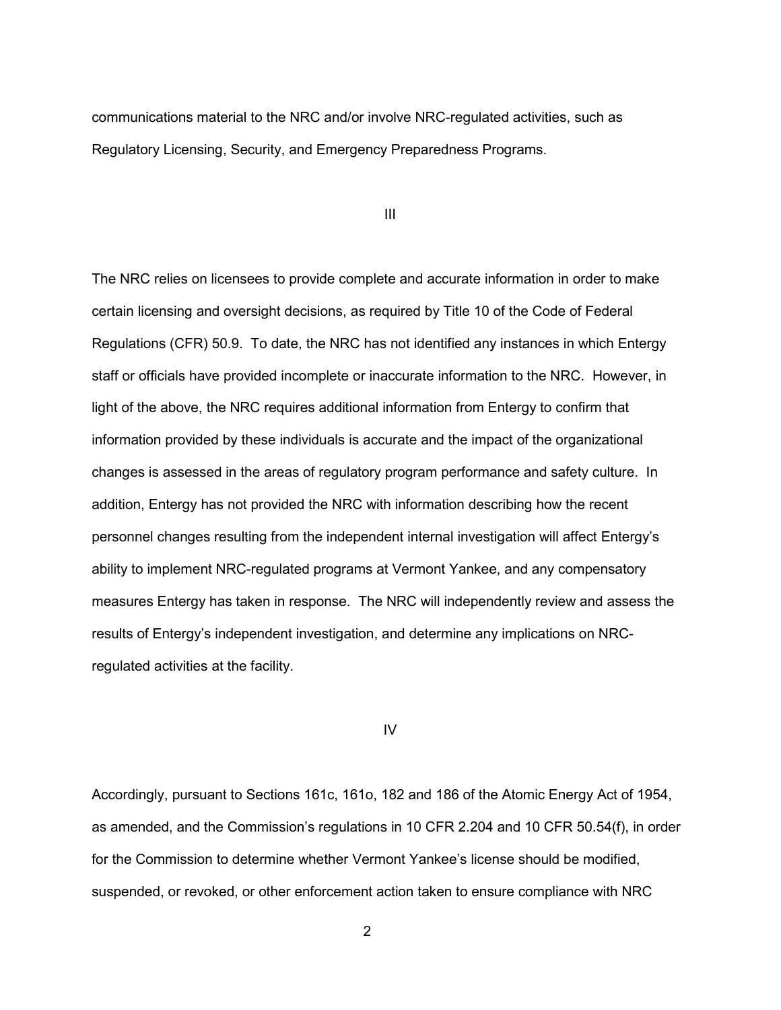communications material to the NRC and/or involve NRC-regulated activities, such as Regulatory Licensing, Security, and Emergency Preparedness Programs.

III

The NRC relies on licensees to provide complete and accurate information in order to make certain licensing and oversight decisions, as required by Title 10 of the Code of Federal Regulations (CFR) 50.9. To date, the NRC has not identified any instances in which Entergy staff or officials have provided incomplete or inaccurate information to the NRC. However, in light of the above, the NRC requires additional information from Entergy to confirm that information provided by these individuals is accurate and the impact of the organizational changes is assessed in the areas of regulatory program performance and safety culture. In addition, Entergy has not provided the NRC with information describing how the recent personnel changes resulting from the independent internal investigation will affect Entergy's ability to implement NRC-regulated programs at Vermont Yankee, and any compensatory measures Entergy has taken in response. The NRC will independently review and assess the results of Entergy's independent investigation, and determine any implications on NRCregulated activities at the facility.

#### IV

Accordingly, pursuant to Sections 161c, 161o, 182 and 186 of the Atomic Energy Act of 1954, as amended, and the Commission's regulations in 10 CFR 2.204 and 10 CFR 50.54(f), in order for the Commission to determine whether Vermont Yankee's license should be modified, suspended, or revoked, or other enforcement action taken to ensure compliance with NRC

2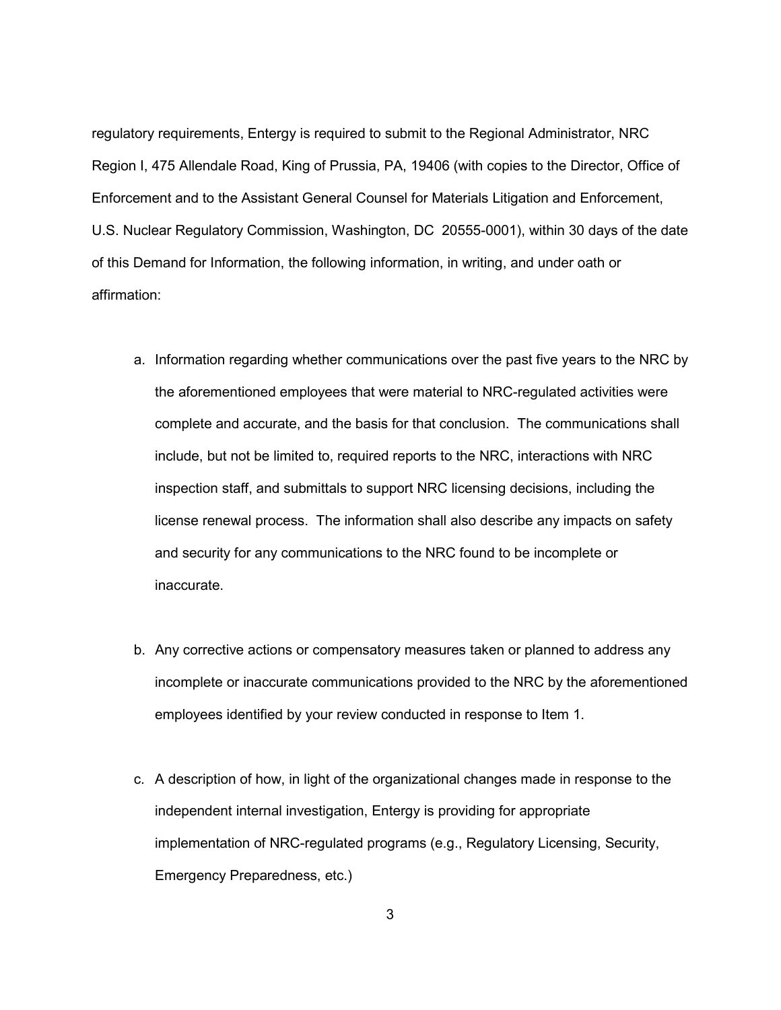regulatory requirements, Entergy is required to submit to the Regional Administrator, NRC Region I, 475 Allendale Road, King of Prussia, PA, 19406 (with copies to the Director, Office of Enforcement and to the Assistant General Counsel for Materials Litigation and Enforcement, U.S. Nuclear Regulatory Commission, Washington, DC 20555-0001), within 30 days of the date of this Demand for Information, the following information, in writing, and under oath or affirmation:

- a. Information regarding whether communications over the past five years to the NRC by the aforementioned employees that were material to NRC-regulated activities were complete and accurate, and the basis for that conclusion. The communications shall include, but not be limited to, required reports to the NRC, interactions with NRC inspection staff, and submittals to support NRC licensing decisions, including the license renewal process. The information shall also describe any impacts on safety and security for any communications to the NRC found to be incomplete or inaccurate.
- b. Any corrective actions or compensatory measures taken or planned to address any incomplete or inaccurate communications provided to the NRC by the aforementioned employees identified by your review conducted in response to Item 1.
- c. A description of how, in light of the organizational changes made in response to the independent internal investigation, Entergy is providing for appropriate implementation of NRC-regulated programs (e.g., Regulatory Licensing, Security, Emergency Preparedness, etc.)